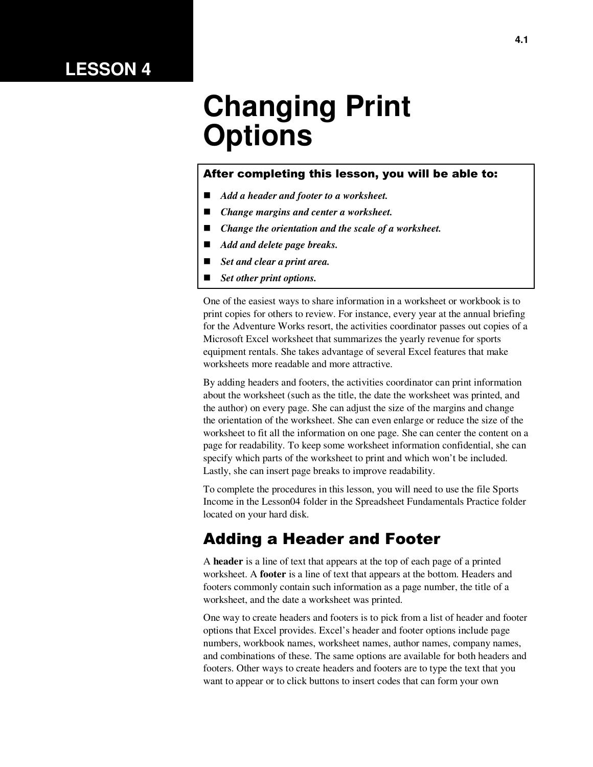## **LESSON 4**

# **Changing Print Options**

#### After completing this lesson, you will be able to:

- *Add a header and footer to a worksheet.*
- *Change margins and center a worksheet.*
- *Change the orientation and the scale of a worksheet.*
- *Add and delete page breaks.*
- *Set and clear a print area.*
- *Set other print options.*

One of the easiest ways to share information in a worksheet or workbook is to print copies for others to review. For instance, every year at the annual briefing for the Adventure Works resort, the activities coordinator passes out copies of a Microsoft Excel worksheet that summarizes the yearly revenue for sports equipment rentals. She takes advantage of several Excel features that make worksheets more readable and more attractive.

By adding headers and footers, the activities coordinator can print information about the worksheet (such as the title, the date the worksheet was printed, and the author) on every page. She can adjust the size of the margins and change the orientation of the worksheet. She can even enlarge or reduce the size of the worksheet to fit all the information on one page. She can center the content on a page for readability. To keep some worksheet information confidential, she can specify which parts of the worksheet to print and which won't be included. Lastly, she can insert page breaks to improve readability.

To complete the procedures in this lesson, you will need to use the file Sports Income in the Lesson04 folder in the Spreadsheet Fundamentals Practice folder located on your hard disk.

#### Adding a Header and Footer

A **header** is a line of text that appears at the top of each page of a printed worksheet. A **footer** is a line of text that appears at the bottom. Headers and footers commonly contain such information as a page number, the title of a worksheet, and the date a worksheet was printed.

One way to create headers and footers is to pick from a list of header and footer options that Excel provides. Excel's header and footer options include page numbers, workbook names, worksheet names, author names, company names, and combinations of these. The same options are available for both headers and footers. Other ways to create headers and footers are to type the text that you want to appear or to click buttons to insert codes that can form your own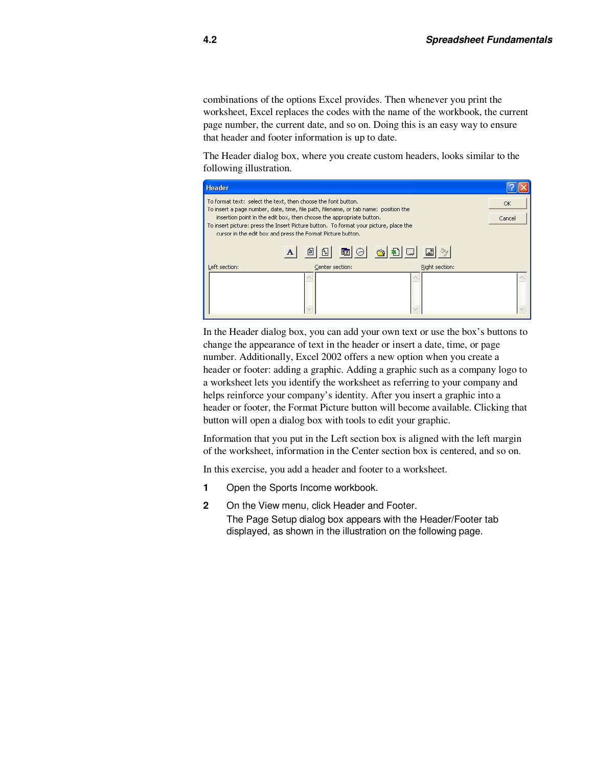combinations of the options Excel provides. Then whenever you print the worksheet, Excel replaces the codes with the name of the workbook, the current page number, the current date, and so on. Doing this is an easy way to ensure that header and footer information is up to date.

The Header dialog box, where you create custom headers, looks similar to the following illustration.

| <b>Header</b>                                                                                                                                                                                                                |                                                                                     |                |           |
|------------------------------------------------------------------------------------------------------------------------------------------------------------------------------------------------------------------------------|-------------------------------------------------------------------------------------|----------------|-----------|
| To format text: select the text, then choose the font button.                                                                                                                                                                | To insert a page number, date, time, file path, filename, or tab name: position the |                | <b>OK</b> |
| insertion point in the edit box, then choose the appropriate button.<br>To insert picture: press the Insert Picture button. To format your picture, place the<br>cursor in the edit box and press the Format Picture button. | Cancel                                                                              |                |           |
|                                                                                                                                                                                                                              | 印<br>$\mathbb{H}$                                                                   | B 0 6 3 5 1    |           |
| Left section:                                                                                                                                                                                                                | Center section:                                                                     | Right section: |           |
|                                                                                                                                                                                                                              |                                                                                     |                |           |

In the Header dialog box, you can add your own text or use the box's buttons to change the appearance of text in the header or insert a date, time, or page number. Additionally, Excel 2002 offers a new option when you create a header or footer: adding a graphic. Adding a graphic such as a company logo to a worksheet lets you identify the worksheet as referring to your company and helps reinforce your company's identity. After you insert a graphic into a header or footer, the Format Picture button will become available. Clicking that button will open a dialog box with tools to edit your graphic.

Information that you put in the Left section box is aligned with the left margin of the worksheet, information in the Center section box is centered, and so on.

In this exercise, you add a header and footer to a worksheet.

- **1** Open the Sports Income workbook.
- **2** On the View menu, click Header and Footer. The Page Setup dialog box appears with the Header/Footer tab displayed, as shown in the illustration on the following page.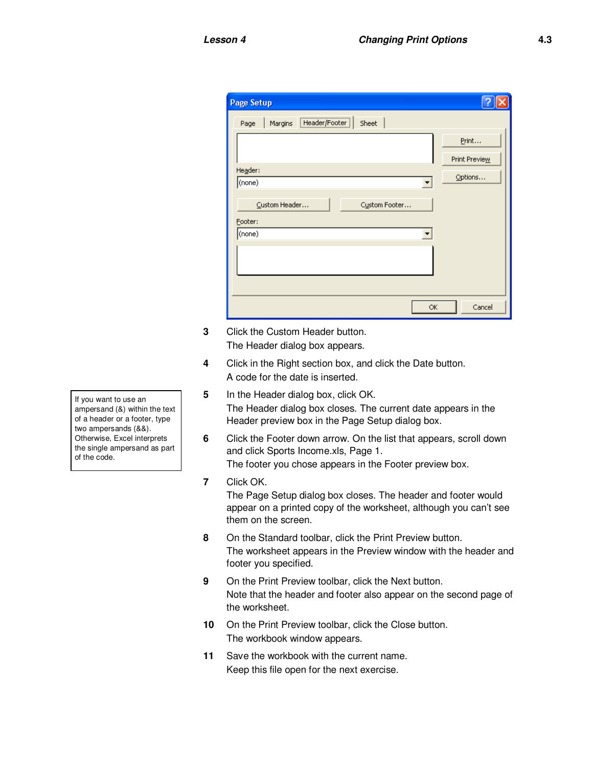| <b>Page Setup</b>                             |               |
|-----------------------------------------------|---------------|
| <br>Header/Footer<br>Sheet<br>Margins<br>Page |               |
|                                               | Print         |
|                                               | Print Preview |
| Header:<br>(none)                             | Options       |
|                                               |               |
| Custom Header<br>Custom Footer                |               |
| Footer:<br>(none)                             |               |
|                                               |               |
|                                               |               |
|                                               |               |
|                                               |               |
| OK                                            | Cancel        |

- **3** Click the Custom Header button. The Header dialog box appears.
- **4** Click in the Right section box, and click the Date button. A code for the date is inserted.
- **5** In the Header dialog box, click OK. The Header dialog box closes. The current date appears in the Header preview box in the Page Setup dialog box.
- **6** Click the Footer down arrow. On the list that appears, scroll down and click Sports Income.xls, Page 1. The footer you chose appears in the Footer preview box.
- **7** Click OK.

The Page Setup dialog box closes. The header and footer would appear on a printed copy of the worksheet, although you can't see them on the screen.

- **8** On the Standard toolbar, click the Print Preview button. The worksheet appears in the Preview window with the header and footer you specified.
- **9** On the Print Preview toolbar, click the Next button. Note that the header and footer also appear on the second page of the worksheet.
- **10** On the Print Preview toolbar, click the Close button. The workbook window appears.
- **11** Save the workbook with the current name. Keep this file open for the next exercise.

If you want to use an ampersand (&) within the text of a header or a footer, type two ampersands (&&). Otherwise, Excel interprets the single ampersand as part of the code.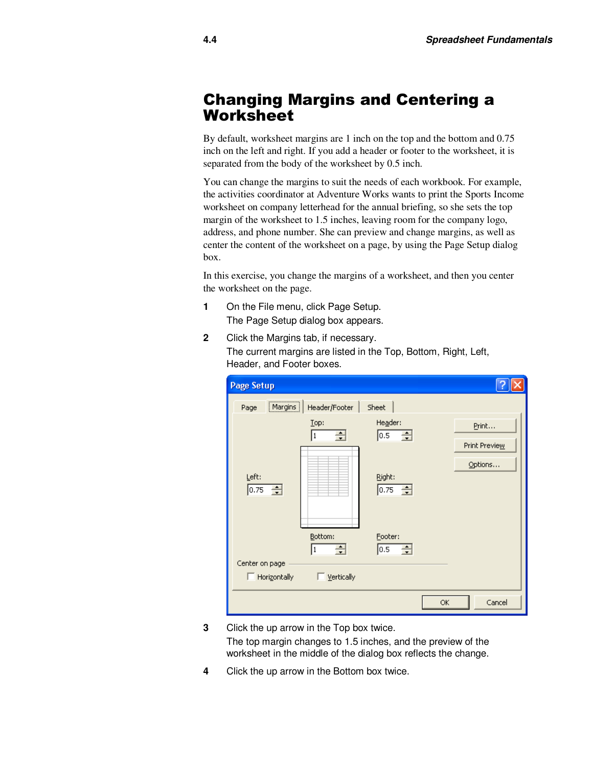#### Changing Margins and Centering a **Worksheet**

By default, worksheet margins are 1 inch on the top and the bottom and 0.75 inch on the left and right. If you add a header or footer to the worksheet, it is separated from the body of the worksheet by 0.5 inch.

You can change the margins to suit the needs of each workbook. For example, the activities coordinator at Adventure Works wants to print the Sports Income worksheet on company letterhead for the annual briefing, so she sets the top margin of the worksheet to 1.5 inches, leaving room for the company logo, address, and phone number. She can preview and change margins, as well as center the content of the worksheet on a page, by using the Page Setup dialog box.

In this exercise, you change the margins of a worksheet, and then you center the worksheet on the page.

- **1** On the File menu, click Page Setup. The Page Setup dialog box appears.
- **2** Click the Margins tab, if necessary. The current margins are listed in the Top, Bottom, Right, Left, Header, and Footer boxes.

| <b>Page Setup</b>  |                        |                       |    |               |
|--------------------|------------------------|-----------------------|----|---------------|
| Margins  <br>Page  | Header/Footer          | Sheet                 |    |               |
|                    | Lop:                   | Header:               |    | Print         |
|                    | ÷<br> 1                | $\Rightarrow$<br> 0.5 |    | Print Preview |
|                    |                        |                       |    | Options       |
| Left:<br>0.75<br>싂 |                        | Right:<br>÷<br>0.75   |    |               |
|                    |                        |                       |    |               |
|                    |                        |                       |    |               |
|                    | Bottom:<br>$\div$<br>1 | Footer:<br>금<br> 0.5  |    |               |
| Center on page     |                        |                       |    |               |
| Horizontally       | Vertically             |                       |    |               |
|                    |                        |                       | ОK | Cancel        |

**3** Click the up arrow in the Top box twice.

The top margin changes to 1.5 inches, and the preview of the worksheet in the middle of the dialog box reflects the change.

**4** Click the up arrow in the Bottom box twice.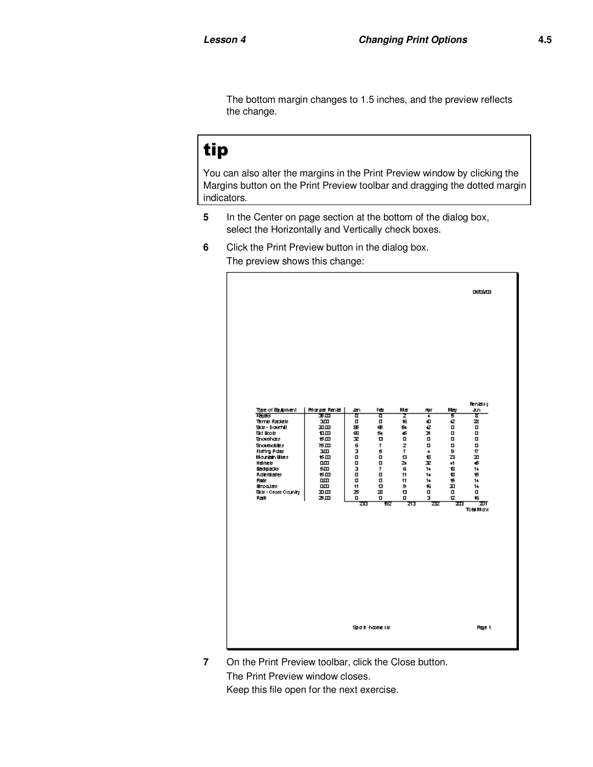The bottom margin changes to 1.5 inches, and the preview reflects the change.

## tip

You can also alter the margins in the Print Preview window by clicking the Margins button on the Print Preview toolbar and dragging the dotted margin indicators.

- **5** In the Center on page section at the bottom of the dialog box, select the Horizontally and Vertically check boxes.
- **6** Click the Print Preview button in the dialog box. The preview shows this change:



**7** On the Print Preview toolbar, click the Close button. The Print Preview window closes. Keep this file open for the next exercise.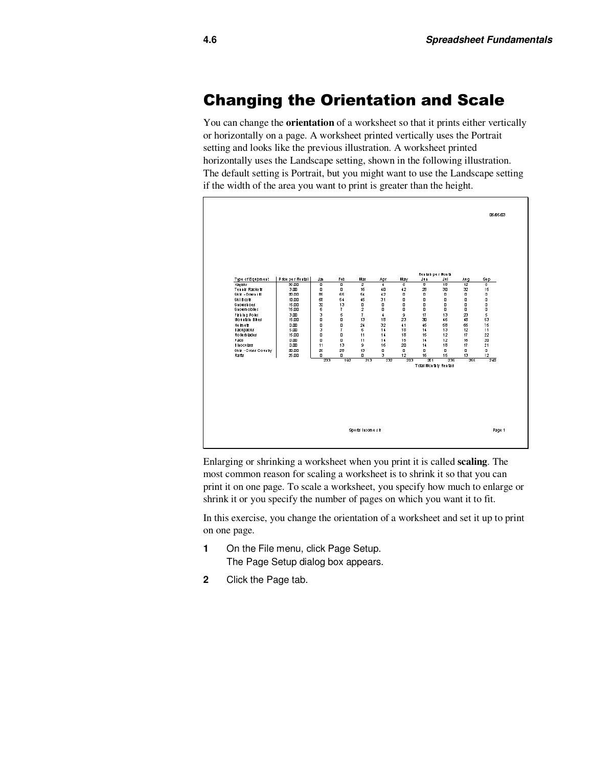#### Changing the Orientation and Scale

You can change the **orientation** of a worksheet so that it prints either vertically or horizontally on a page. A worksheet printed vertically uses the Portrait setting and looks like the previous illustration. A worksheet printed horizontally uses the Landscape setting, shown in the following illustration. The default setting is Portrait, but you might want to use the Landscape setting if the width of the area you want to print is greater than the height.



Enlarging or shrinking a worksheet when you print it is called **scaling**. The most common reason for scaling a worksheet is to shrink it so that you can print it on one page. To scale a worksheet, you specify how much to enlarge or shrink it or you specify the number of pages on which you want it to fit.

In this exercise, you change the orientation of a worksheet and set it up to print on one page.

- **1** On the File menu, click Page Setup. The Page Setup dialog box appears.
- **2** Click the Page tab.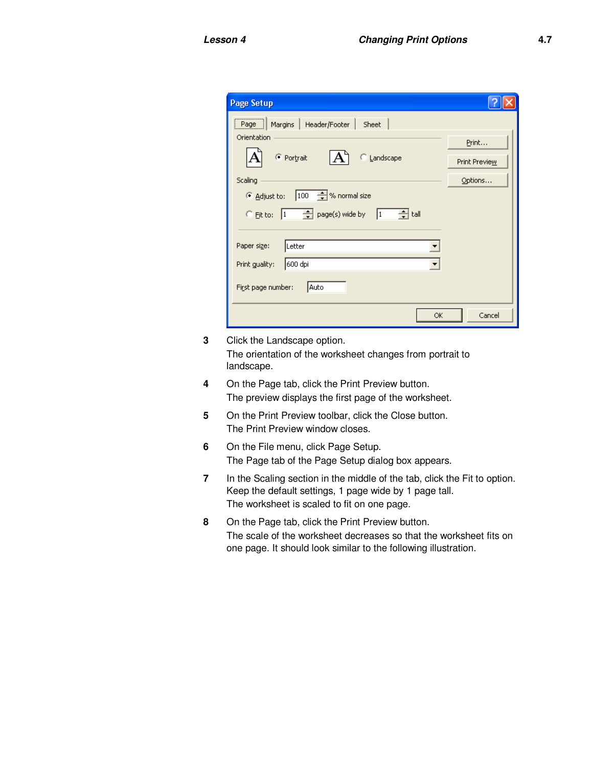| Page Setup                                                                                         |               |
|----------------------------------------------------------------------------------------------------|---------------|
| Page   Margins   Header/Footer   Sheet                                                             |               |
| Orientation                                                                                        | Print         |
| ● Portrait<br><b>C</b> Landscape                                                                   | Print Preview |
| Scaling                                                                                            | Options       |
| Adjust to: 100 % normal size                                                                       |               |
| $\frac{1}{\sqrt{2}}$ page(s) wide by $\boxed{1}$ $\frac{1}{\sqrt{2}}$ tall<br>$\degree$ Eit to:  1 |               |
|                                                                                                    |               |
| Paper size:<br> Letter                                                                             |               |
| Print guality:<br>600 dpi                                                                          |               |
| First page number:<br>Auto                                                                         |               |
| ОК                                                                                                 | Cancel        |

- **3** Click the Landscape option. The orientation of the worksheet changes from portrait to landscape.
- **4** On the Page tab, click the Print Preview button. The preview displays the first page of the worksheet.
- **5** On the Print Preview toolbar, click the Close button. The Print Preview window closes.
- **6** On the File menu, click Page Setup. The Page tab of the Page Setup dialog box appears.
- **7** In the Scaling section in the middle of the tab, click the Fit to option. Keep the default settings, 1 page wide by 1 page tall. The worksheet is scaled to fit on one page.
- **8** On the Page tab, click the Print Preview button. The scale of the worksheet decreases so that the worksheet fits on one page. It should look similar to the following illustration.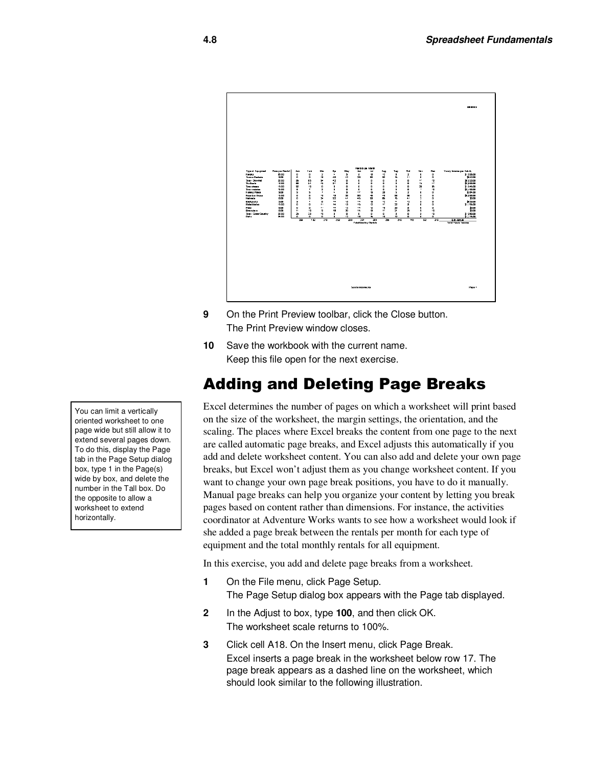

- **9** On the Print Preview toolbar, click the Close button. The Print Preview window closes.
- **10** Save the workbook with the current name. Keep this file open for the next exercise.

## Adding and Deleting Page Breaks

Excel determines the number of pages on which a worksheet will print based on the size of the worksheet, the margin settings, the orientation, and the scaling. The places where Excel breaks the content from one page to the next are called automatic page breaks, and Excel adjusts this automatically if you add and delete worksheet content. You can also add and delete your own page breaks, but Excel won't adjust them as you change worksheet content. If you want to change your own page break positions, you have to do it manually. Manual page breaks can help you organize your content by letting you break pages based on content rather than dimensions. For instance, the activities coordinator at Adventure Works wants to see how a worksheet would look if she added a page break between the rentals per month for each type of equipment and the total monthly rentals for all equipment.

In this exercise, you add and delete page breaks from a worksheet.

- **1** On the File menu, click Page Setup. The Page Setup dialog box appears with the Page tab displayed.
- **2** In the Adjust to box, type **100**, and then click OK. The worksheet scale returns to 100%.
- **3** Click cell A18. On the Insert menu, click Page Break. Excel inserts a page break in the worksheet below row 17. The page break appears as a dashed line on the worksheet, which should look similar to the following illustration.

You can limit a vertically oriented worksheet to one page wide but still allow it to extend several pages down. To do this, display the Page tab in the Page Setup dialog box, type 1 in the Page(s) wide by box, and delete the number in the Tall box. Do the opposite to allow a worksheet to extend horizontally.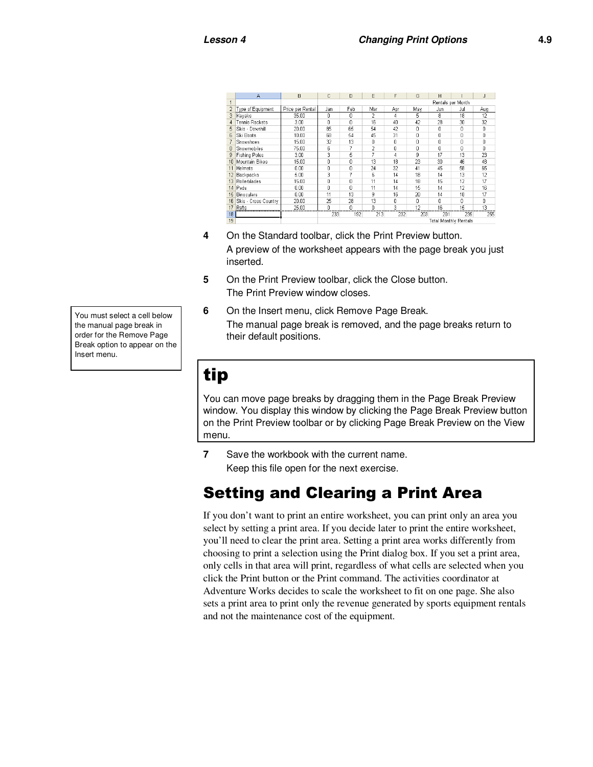|                | A                       | B                | С                            | D   | E   | F   | G   | H   |     | J   |
|----------------|-------------------------|------------------|------------------------------|-----|-----|-----|-----|-----|-----|-----|
| 1              |                         |                  | Rentals per Month            |     |     |     |     |     |     |     |
| $\overline{2}$ | Type of Equipment       | Price per Rental | Jan                          | Feb | Mar | Apr | May | Jun | Jul | Aug |
| 3              | Kayaks                  | 35.00            | Ω                            | 0   | 2   | 4   | 5   | 8   | 18  | 12  |
| 4              | Tennis Rackets          | 3.00             | Ω                            | Ū   | 16  | 40  | 42  | 28  | 30  | 32  |
| 5              | Skis - Downhill         | 20.00            | 85                           | 65  | 54  | 42  | 0   | 0   | ٥   | 0   |
| 6              | Ski Boots               | 10.00            | 68                           | 54  | 45  | 31  | 0   | 0   | ٥   | 0   |
| $\overline{7}$ | Snowshoes               | 15.00            | 32                           | 13  | 0   | 0   | Ō   | 0   | 0   | O   |
| 8              | Snowmobiles             | 75.00            | 6                            | 7   | 2   | 0   | Ō   | 0   | n   | n   |
|                | 9 Fishing Poles         | 3.00             | 3                            | 5   |     | 4   | 9   | 17  | 13  | 23  |
|                | 10 Mountain Bikes       | 15.00            | Ō                            | 0   | 13  | 18  | 23  | 30  | 46  | 48  |
|                | 11 Helmets              | 0.00             | n                            | n   | 24  | 32  | 41  | 45  | 58  | 65  |
|                | 12 Backpacks            | 5.00             | 3                            |     | 6   | 14  | 18  | 14  | 13  | 12  |
|                | 13 Rollerblades         | 15.00            | 0                            | 0   | 11  | 14  | 18  | 15  | 12  | 17  |
|                | 14 Pads                 | 0.00             | 0                            | n   | 11  | 14  | 15  | 14  | 12  | 16  |
|                | 15 Binoculars           | 0.00             | 11                           | 13  | 9   | 16  | 20  | 14  | 18  | 17  |
|                | 16 Skis - Cross Country | 20.00            | 25                           | 28  | 13  | 0   | O   | ۵   | ۵   | 0   |
|                | 17 Rafts                | 25.00            | 0                            | Ō   | 0   | з   | 12  | 16  | 15  | 13  |
| 18             |                         |                  | 233                          | 192 | 213 | 232 | 203 | 201 | 235 | 255 |
| 19             |                         |                  | <b>Total Monthly Rentals</b> |     |     |     |     |     |     |     |

- **4** On the Standard toolbar, click the Print Preview button. A preview of the worksheet appears with the page break you just inserted.
- **5** On the Print Preview toolbar, click the Close button. The Print Preview window closes.
- **6** On the Insert menu, click Remove Page Break. The manual page break is removed, and the page breaks return to their default positions.

## tip

You can move page breaks by dragging them in the Page Break Preview window. You display this window by clicking the Page Break Preview button on the Print Preview toolbar or by clicking Page Break Preview on the View menu.

**7** Save the workbook with the current name. Keep this file open for the next exercise.

## Setting and Clearing a Print Area

If you don't want to print an entire worksheet, you can print only an area you select by setting a print area. If you decide later to print the entire worksheet, you'll need to clear the print area. Setting a print area works differently from choosing to print a selection using the Print dialog box. If you set a print area, only cells in that area will print, regardless of what cells are selected when you click the Print button or the Print command. The activities coordinator at Adventure Works decides to scale the worksheet to fit on one page. She also sets a print area to print only the revenue generated by sports equipment rentals and not the maintenance cost of the equipment.

You must select a cell below the manual page break in order for the Remove Page Break option to appear on the Insert menu.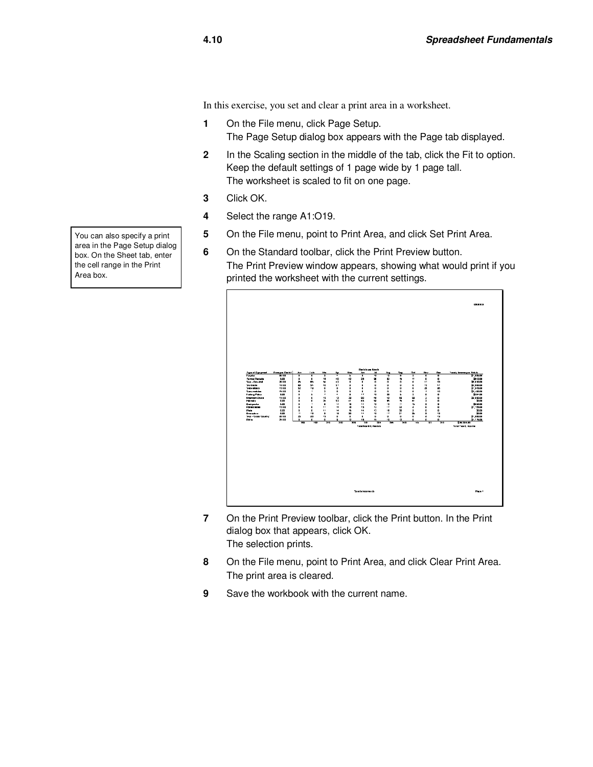In this exercise, you set and clear a print area in a worksheet.

- **1** On the File menu, click Page Setup. The Page Setup dialog box appears with the Page tab displayed.
- **2** In the Scaling section in the middle of the tab, click the Fit to option. Keep the default settings of 1 page wide by 1 page tall. The worksheet is scaled to fit on one page.
- **3** Click OK.
- **4** Select the range A1:O19.
- **5** On the File menu, point to Print Area, and click Set Print Area.
- **6** On the Standard toolbar, click the Print Preview button. The Print Preview window appears, showing what would print if you printed the worksheet with the current settings.



- **7** On the Print Preview toolbar, click the Print button. In the Print dialog box that appears, click OK. The selection prints.
- **8** On the File menu, point to Print Area, and click Clear Print Area. The print area is cleared.
- **9** Save the workbook with the current name.

You can also specify a print area in the Page Setup dialog box. On the Sheet tab, enter the cell range in the Print Area box.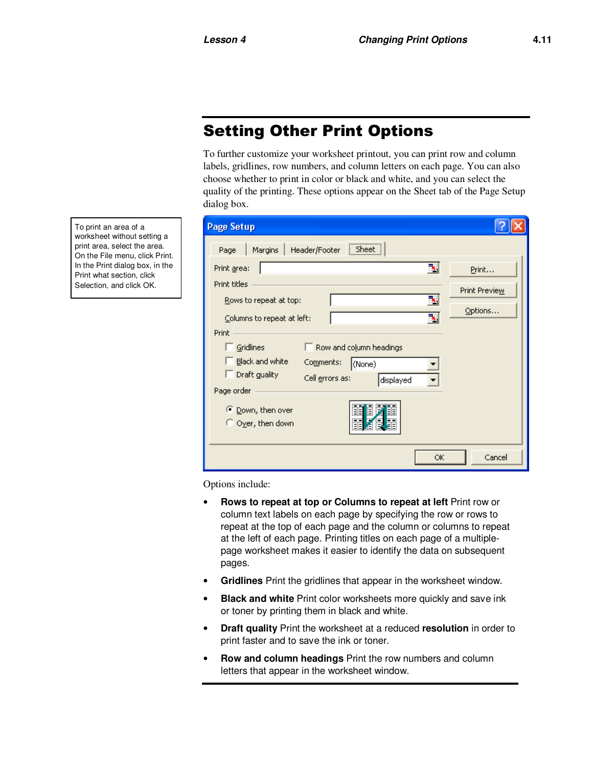## Setting Other Print Options

To further customize your worksheet printout, you can print row and column labels, gridlines, row numbers, and column letters on each page. You can also choose whether to print in color or black and white, and you can select the quality of the printing. These options appear on the Sheet tab of the Page Setup dialog box.

| <b>Page Setup</b>                                    |               |
|------------------------------------------------------|---------------|
| Sheet<br>Header/Footer<br>Margins<br>Page            |               |
| ₹<br>Print area:                                     | Print         |
| Print titles                                         | Print Preview |
| Rows to repeat at top:<br>Columns to repeat at left: | Options       |
| Print                                                |               |
| Gridlines<br>Row and column headings                 |               |
| Black and white<br>Comments:<br>(None)               |               |
| Draft guality<br>Cell errors as:<br>displayed        |               |
| Page order                                           |               |
| 謂<br>⊙ Down, then over<br>直<br><br>O Over, then down |               |
| ОК                                                   | Cancel        |

Options include:

- **Rows to repeat at top or Columns to repeat at left Print row or** column text labels on each page by specifying the row or rows to repeat at the top of each page and the column or columns to repeat at the left of each page. Printing titles on each page of a multiplepage worksheet makes it easier to identify the data on subsequent pages.
- **Gridlines** Print the gridlines that appear in the worksheet window.
- **Black and white** Print color worksheets more quickly and save ink or toner by printing them in black and white.
- **Draft quality** Print the worksheet at a reduced **resolution** in order to print faster and to save the ink or toner.
- **Row and column headings** Print the row numbers and column letters that appear in the worksheet window.

To print an area of a worksheet without setting a print area, select the area. On the File menu, click Print. In the Print dialog box, in the Print what section, click Selection, and click OK.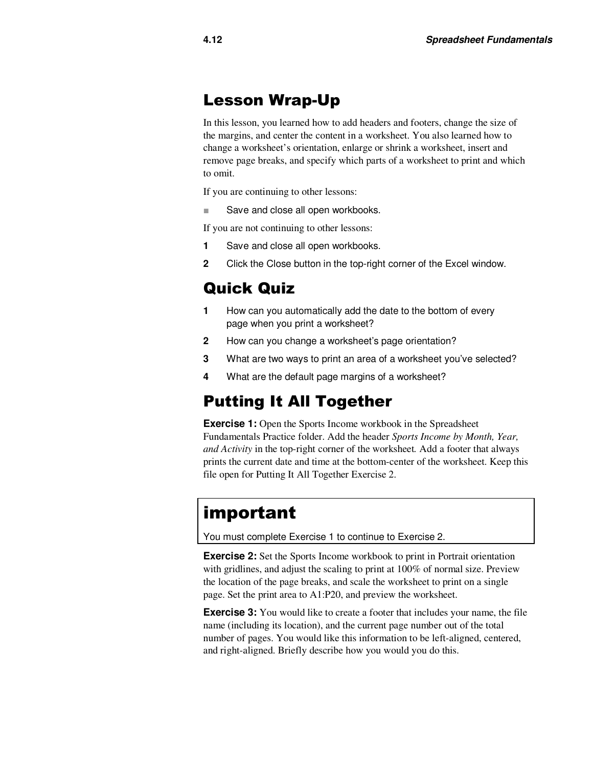#### Lesson Wrap-Up

In this lesson, you learned how to add headers and footers, change the size of the margins, and center the content in a worksheet. You also learned how to change a worksheet's orientation, enlarge or shrink a worksheet, insert and remove page breaks, and specify which parts of a worksheet to print and which to omit.

If you are continuing to other lessons:

■ Save and close all open workbooks.

If you are not continuing to other lessons:

- **1** Save and close all open workbooks.
- **2** Click the Close button in the top-right corner of the Excel window.

#### Quick Quiz

- **1** How can you automatically add the date to the bottom of every page when you print a worksheet?
- **2** How can you change a worksheet's page orientation?
- **3** What are two ways to print an area of a worksheet you've selected?
- **4** What are the default page margins of a worksheet?

#### Putting It All Together

**Exercise 1:** Open the Sports Income workbook in the Spreadsheet Fundamentals Practice folder. Add the header *Sports Income by Month, Year, and Activity* in the top-right corner of the worksheet*.* Add a footer that always prints the current date and time at the bottom-center of the worksheet. Keep this file open for Putting It All Together Exercise 2.

## important

You must complete Exercise 1 to continue to Exercise 2.

**Exercise 2:** Set the Sports Income workbook to print in Portrait orientation with gridlines, and adjust the scaling to print at 100% of normal size. Preview the location of the page breaks, and scale the worksheet to print on a single page. Set the print area to A1:P20, and preview the worksheet.

**Exercise 3:** You would like to create a footer that includes your name, the file name (including its location), and the current page number out of the total number of pages. You would like this information to be left-aligned, centered, and right-aligned. Briefly describe how you would you do this.